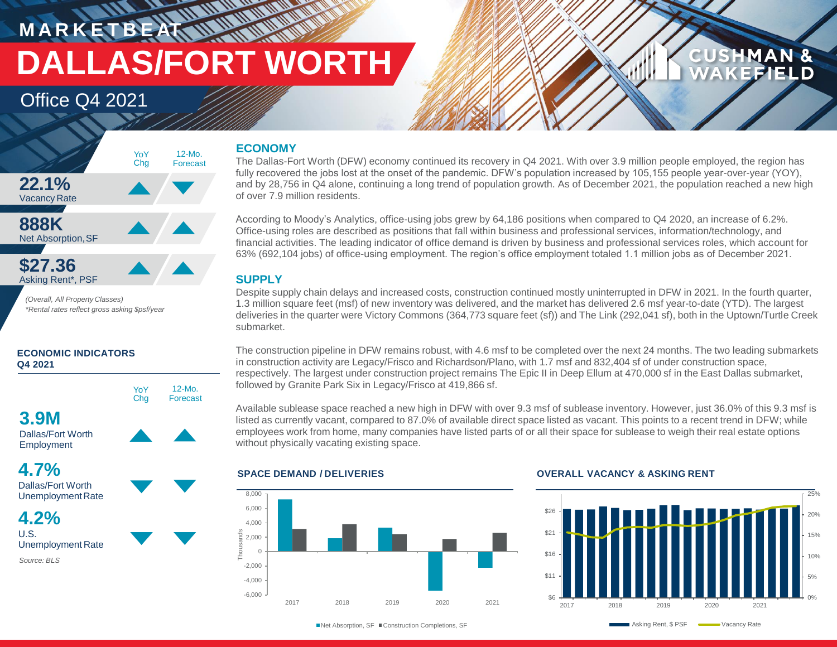**M A R K E T B E AT DALLAS/FORT WORTH**

> 12-Mo. Forecast

### Office Q4 2021



*(Overall, All Property Classes) \*Rental rates reflect gross asking \$psf/year*

### **ECONOMIC INDICATORS Q4 2021**



Dallas/Fort Worth Employment



UnemploymentRate



### **ECONOMY**

**WANNA** 

The Dallas-Fort Worth (DFW) economy continued its recovery in Q4 2021. With over 3.9 million people employed, the region has fully recovered the jobs lost at the onset of the pandemic. DFW's population increased by 105,155 people year-over-year (YOY), and by 28,756 in Q4 alone, continuing a long trend of population growth. As of December 2021, the population reached a new high of over 7.9 million residents.

According to Moody's Analytics, office-using jobs grew by 64,186 positions when compared to Q4 2020, an increase of 6.2%. Office-using roles are described as positions that fall within business and professional services, information/technology, and financial activities. The leading indicator of office demand is driven by business and professional services roles, which account for 63% (692,104 jobs) of office-using employment. The region's office employment totaled 1.1 million jobs as of December 2021.

### **SUPPLY**

Despite supply chain delays and increased costs, construction continued mostly uninterrupted in DFW in 2021. In the fourth quarter, 1.3 million square feet (msf) of new inventory was delivered, and the market has delivered 2.6 msf year-to-date (YTD). The largest deliveries in the quarter were Victory Commons (364,773 square feet (sf)) and The Link (292,041 sf), both in the Uptown/Turtle Creek submarket.

The construction pipeline in DFW remains robust, with 4.6 msf to be completed over the next 24 months. The two leading submarkets in construction activity are Legacy/Frisco and Richardson/Plano, with 1.7 msf and 832,404 sf of under construction space, respectively. The largest under construction project remains The Epic II in Deep Ellum at 470,000 sf in the East Dallas submarket, followed by Granite Park Six in Legacy/Frisco at 419,866 sf.

Available sublease space reached a new high in DFW with over 9.3 msf of sublease inventory. However, just 36.0% of this 9.3 msf is listed as currently vacant, compared to 87.0% of available direct space listed as vacant. This points to a recent trend in DFW; while employees work from home, many companies have listed parts of or all their space for sublease to weigh their real estate options without physically vacating existing space.



### **SPACE DEMAND / DELIVERIES OVERALL VACANCY & ASKING RENT**



**CUSHMAN &** 

**CEFIELD** 

■ Net Absorption, SF ■ Construction Completions, SF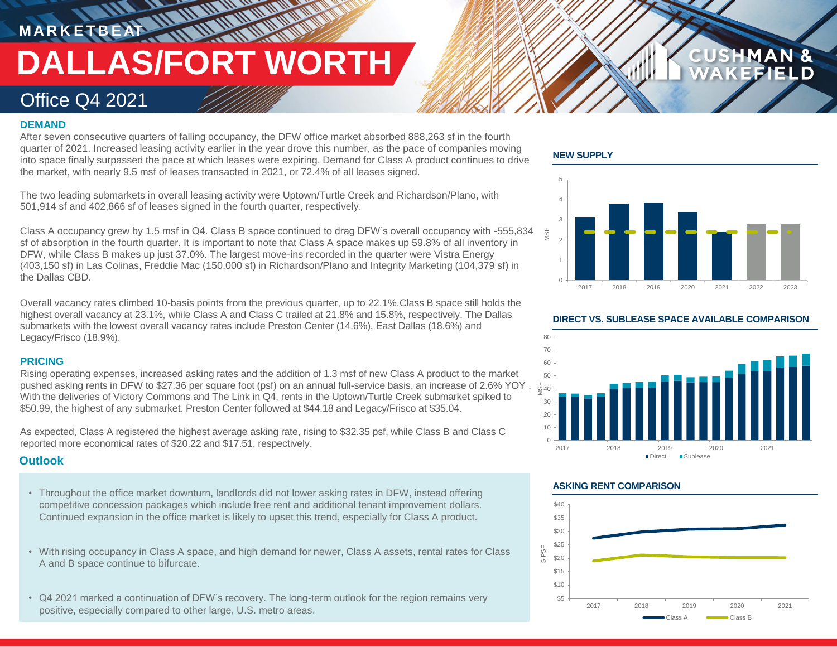# **M A R K E T B E AT DALLAS/FORT WORTH**

### Office Q4 2021

### **DEMAND**

After seven consecutive quarters of falling occupancy, the DFW office market absorbed 888,263 sf in the fourth quarter of 2021. Increased leasing activity earlier in the year drove this number, as the pace of companies moving into space finally surpassed the pace at which leases were expiring. Demand for Class A product continues to drive the market, with nearly 9.5 msf of leases transacted in 2021, or 72.4% of all leases signed.

The two leading submarkets in overall leasing activity were Uptown/Turtle Creek and Richardson/Plano, with 501,914 sf and 402,866 sf of leases signed in the fourth quarter, respectively.

Class A occupancy grew by 1.5 msf in Q4. Class B space continued to drag DFW's overall occupancy with -555,834 sf of absorption in the fourth quarter. It is important to note that Class A space makes up 59.8% of all inventory in DFW, while Class B makes up just 37.0%. The largest move-ins recorded in the quarter were Vistra Energy (403,150 sf) in Las Colinas, Freddie Mac (150,000 sf) in Richardson/Plano and Integrity Marketing (104,379 sf) in the Dallas CBD.

Overall vacancy rates climbed 10-basis points from the previous quarter, up to 22.1%.Class B space still holds the highest overall vacancy at 23.1%, while Class A and Class C trailed at 21.8% and 15.8%, respectively. The Dallas submarkets with the lowest overall vacancy rates include Preston Center (14.6%), East Dallas (18.6%) and Legacy/Frisco (18.9%).

### **PRICING**

Rising operating expenses, increased asking rates and the addition of 1.3 msf of new Class A product to the market pushed asking rents in DFW to \$27.36 per square foot (psf) on an annual full-service basis, an increase of 2.6% YOY . With the deliveries of Victory Commons and The Link in Q4, rents in the Uptown/Turtle Creek submarket spiked to \$50.99, the highest of any submarket. Preston Center followed at \$44.18 and Legacy/Frisco at \$35.04.

As expected, Class A registered the highest average asking rate, rising to \$32.35 psf, while Class B and Class C reported more economical rates of \$20.22 and \$17.51, respectively.

### **Outlook**

- Throughout the office market downturn, landlords did not lower asking rates in DFW, instead offering competitive concession packages which include free rent and additional tenant improvement dollars. Continued expansion in the office market is likely to upset this trend, especially for Class A product.
- With rising occupancy in Class A space, and high demand for newer, Class A assets, rental rates for Class A and B space continue to bifurcate.
- Q4 2021 marked a continuation of DFW's recovery. The long-term outlook for the region remains very positive, especially compared to other large, U.S. metro areas.

### **NEW SUPPLY**



**CUSHMAN &** 

### **DIRECT VS. SUBLEASE SPACE AVAILABLE COMPARISON**



### **ASKING RENT COMPARISON**

\$ PSF

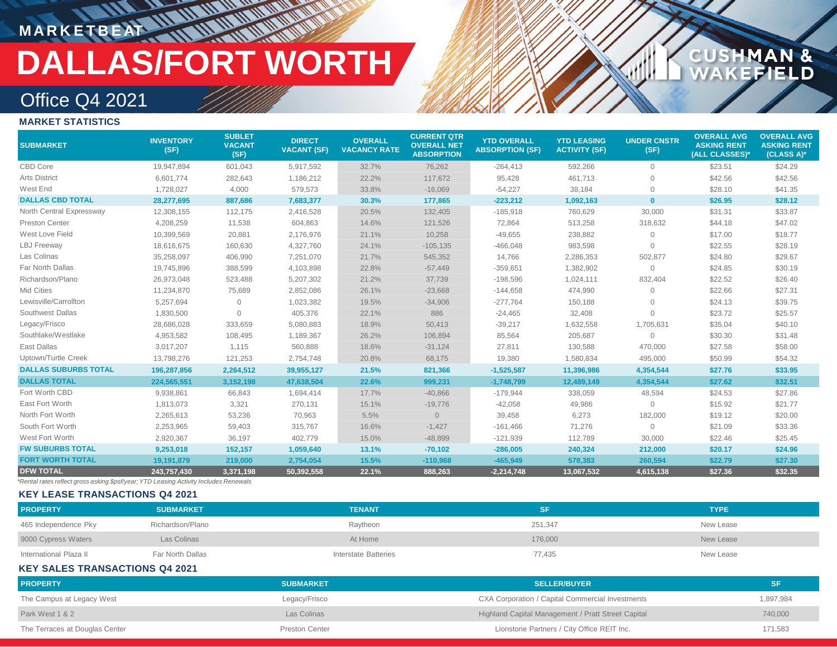# **MARKETBEAT 111111**

# **DALLAS/FORT WORTH**

## **CUSHMAN &<br>WAKEFIELD**

## Office Q4 2021

### **MARKET STATISTICS**

| <b>SUBMARKET</b>            | <b>INVENTORY</b><br>(SF) | <b>SUBLET</b><br><b>VACANT</b><br>(SF) | <b>DIRECT</b><br><b>VACANT (SF)</b> | <b>OVERALL</b><br><b>VACANCY RATE</b> | <b>CURRENT QTR</b><br><b>OVERALL NET</b><br><b>ABSORPTION</b> | <b>YTD OVERALL</b><br><b>ABSORPTION (SF)</b> | <b>YTD LEASING</b><br><b>ACTIVITY (SF)</b> | <b>UNDER CNSTR</b><br>(SF) | <b>OVERALL AVG</b><br><b>ASKING RENT</b><br>(ALL CLASSES)* | <b>OVERALL AVG</b><br><b>ASKING RENT</b><br>(CLASS A)* |
|-----------------------------|--------------------------|----------------------------------------|-------------------------------------|---------------------------------------|---------------------------------------------------------------|----------------------------------------------|--------------------------------------------|----------------------------|------------------------------------------------------------|--------------------------------------------------------|
| CBD Core                    | 19,947,894               | 601,043                                | 5,917,592                           | 32.7%                                 | 76,262                                                        | $-264,413$                                   | 592,266                                    | $\circ$                    | \$23.51                                                    | \$24.29                                                |
| <b>Arts District</b>        | 6,601,774                | 282,643                                | 1,186,212                           | 22.2%                                 | 117,672                                                       | 95,428                                       | 461,713                                    | $\mathbf{0}$               | \$42.56                                                    | \$42.56                                                |
| West End                    | 1,728,027                | 4,000                                  | 579,573                             | 33.8%                                 | $-16,069$                                                     | $-54,227$                                    | 38,184                                     | $\mathbf{0}$               | \$28.10                                                    | \$41.35                                                |
| <b>DALLAS CBD TOTAL</b>     | 28,277,695               | 887,686                                | 7,683,377                           | 30.3%                                 | 177,865                                                       | $-223,212$                                   | 1,092,163                                  | $\mathbf{0}$               | \$26.95                                                    | \$28.12                                                |
| North Central Expressway    | 12,308,155               | 112,175                                | 2,416,528                           | 20.5%                                 | 132,405                                                       | $-185,918$                                   | 760,629                                    | 30,000                     | \$31.31                                                    | \$33.87                                                |
| Preston Center              | 4,208,259                | 11,538                                 | 604,863                             | 14.6%                                 | 121,526                                                       | 72,864                                       | 513,258                                    | 318,632                    | \$44.18                                                    | \$47.02                                                |
| West Love Field             | 10,399,569               | 20,881                                 | 2,176,976                           | 21.1%                                 | 10,258                                                        | $-49,655$                                    | 238,882                                    | $\mathbf{0}$               | \$17.00                                                    | \$18.77                                                |
| <b>LBJ</b> Freeway          | 18,616,675               | 160,630                                | 4,327,760                           | 24.1%                                 | $-105, 135$                                                   | $-466,048$                                   | 983,598                                    | $\Omega$                   | \$22.55                                                    | \$28.19                                                |
| Las Colinas                 | 35,258,097               | 406,990                                | 7,251,070                           | 21.7%                                 | 545,352                                                       | 14,766                                       | 2,286,353                                  | 502,877                    | \$24.80                                                    | \$29.67                                                |
| Far North Dallas            | 19,745,896               | 388,599                                | 4,103,898                           | 22.8%                                 | $-57,449$                                                     | $-359,651$                                   | 1,382,902                                  | $\mathbf{0}$               | \$24.85                                                    | \$30.19                                                |
| Richardson/Plano            | 26,973,048               | 523,488                                | 5,207,302                           | 21.2%                                 | 37,739                                                        | $-198,596$                                   | 1,024,111                                  | 832,404                    | \$22.52                                                    | \$26.40                                                |
| Mid Cities                  | 11,234,870               | 75,689                                 | 2,852,086                           | 26.1%                                 | $-23,668$                                                     | $-144,658$                                   | 474,990                                    | $\Omega$                   | \$22.66                                                    | \$27.31                                                |
| Lewisville/Carrollton       | 5,257,694                | $\Omega$                               | 1,023,382                           | 19.5%                                 | $-34,906$                                                     | $-277,764$                                   | 150,188                                    | $\Omega$                   | \$24.13                                                    | \$39.75                                                |
| Southwest Dallas            | 1,830,500                | $\Omega$                               | 405,376                             | 22.1%                                 | 886                                                           | $-24,465$                                    | 32,408                                     | $\Omega$                   | \$23.72                                                    | \$25.57                                                |
| Legacy/Frisco               | 28,686,028               | 333,659                                | 5,080,883                           | 18.9%                                 | 50,413                                                        | $-39,217$                                    | 1,632,558                                  | 1,705,631                  | \$35.04                                                    | \$40.10                                                |
| Southlake/Westlake          | 4,953,582                | 108,495                                | 1,189,367                           | 26.2%                                 | 106,894                                                       | 85,564                                       | 205,687                                    | $\mathbf 0$                | \$30.30                                                    | \$31.48                                                |
| East Dallas                 | 3,017,207                | 1,115                                  | 560,888                             | 18.6%                                 | $-31,124$                                                     | 27,811                                       | 130,588                                    | 470,000                    | \$27.58                                                    | \$58.00                                                |
| Uptown/Turtle Creek         | 13,798,276               | 121,253                                | 2,754,748                           | 20.8%                                 | 68,175                                                        | 19,380                                       | 1,580,834                                  | 495,000                    | \$50.99                                                    | \$54.32                                                |
| <b>DALLAS SUBURBS TOTAL</b> | 196,287,856              | 2,264,512                              | 39,955,127                          | 21.5%                                 | 821,366                                                       | $-1,525,587$                                 | 11,396,986                                 | 4,354,544                  | \$27.76                                                    | \$33.95                                                |
| <b>DALLAS TOTAL</b>         | 224,565,551              | 3,152,198                              | 47,638,504                          | 22.6%                                 | 999,231                                                       | $-1,748,799$                                 | 12,489,149                                 | 4,354,544                  | \$27.62                                                    | \$32.51                                                |
| Fort Worth CBD              | 9,938,861                | 66,843                                 | 1,694,414                           | 17.7%                                 | $-40,866$                                                     | $-179,944$                                   | 338,059                                    | 48,594                     | \$24.53                                                    | \$27.86                                                |
| East Fort Worth             | 1,813,073                | 3,321                                  | 270,131                             | 15.1%                                 | $-19,776$                                                     | $-42,058$                                    | 49,986                                     | $\mathbf{0}$               | \$15.92                                                    | \$21.77                                                |
| North Fort Worth            | 2,265,613                | 53,236                                 | 70,963                              | 5.5%                                  | $\overline{0}$                                                | 39,458                                       | 6,273                                      | 182,000                    | \$19.12                                                    | \$20.00                                                |
| South Fort Worth            | 2,253,965                | 59,403                                 | 315,767                             | 16.6%                                 | $-1,427$                                                      | $-161,466$                                   | 71,276                                     | $\circ$                    | \$21.09                                                    | \$33.36                                                |
| West Fort Worth             | 2,920,367                | 36,197                                 | 402,779                             | 15.0%                                 | $-48,899$                                                     | $-121,939$                                   | 112,789                                    | 30,000                     | \$22.46                                                    | \$25.45                                                |
| <b>FW SUBURBS TOTAL</b>     | 9,253,018                | 152,157                                | 1,059,640                           | 13.1%                                 | $-70,102$                                                     | $-286,005$                                   | 240,324                                    | 212,000                    | \$20.17                                                    | \$24.96                                                |
| <b>FORT WORTH TOTAL</b>     | 19,191,879               | 219,000                                | 2,754,054                           | 15.5%                                 | $-110,968$                                                    | $-465,949$                                   | 578,383                                    | 260,594                    | \$22.79                                                    | \$27.30                                                |
| <b>DFW TOTAL</b>            | 243,757,430              | 3,371,198                              | 50,392,558                          | 22.1%                                 | 888,263                                                       | $-2,214,748$                                 | 13,067,532                                 | 4,615,138                  | \$27.36                                                    | \$32.35                                                |

*\*Rental rates reflect gross asking \$psf/year; YTD Leasing Activity Includes Renewals*

### **KEY LEASE TRANSACTIONS Q4 2021**

| <b>PROPERTY</b>        | <b>SUBMARKET</b> | <b>TENANT</b>        |         | <b>TYPE</b> |
|------------------------|------------------|----------------------|---------|-------------|
| 465 Independence Pky   | Richardson/Plano | Raytheon             | 251,347 | New Lease   |
| 9000 Cypress Waters    | Las Colinas      | At Home              | 176,000 | New Lease   |
| International Plaza II | Far North Dallas | Interstate Batteries | 77,435  | New Lease   |

### **KEY SALES TRANSACTIONS Q4 2021**

| <b>PROPERTY</b>                | <b>SUBMARKET</b>      | <b>SELLER/BUYER</b>                                |           |
|--------------------------------|-----------------------|----------------------------------------------------|-----------|
| The Campus at Legacy West      | Legacy/Frisco         | CXA Corporation / Capital Commercial Investments   | 1,897,984 |
| Park West 1 & 2                | Las Colinas           | Highland Capital Management / Pratt Street Capital | 740,000   |
| The Terraces at Douglas Center | <b>Preston Center</b> | Lionstone Partners / City Office REIT Inc.         | 171,583   |